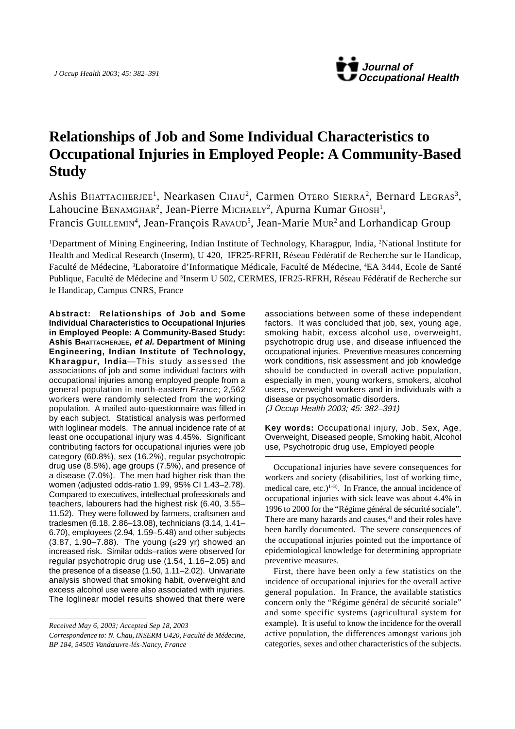

# **Relationships of Job and Some Individual Characteristics to Occupational Injuries in Employed People: A Community-Based Study**

Ashis BHATTACHERJEE<sup>1</sup>, Nearkasen Chau<sup>2</sup>, Carmen Otero SIERRA<sup>2</sup>, Bernard Legras<sup>3</sup>, Lahoucine BENAMGHAR<sup>2</sup>, Jean-Pierre MICHAELY<sup>2</sup>, Apurna Kumar GHOSH<sup>1</sup>, Francis GUILLEMIN<sup>4</sup>, Jean-François RAVAUD<sup>5</sup>, Jean-Marie MUR<sup>2</sup> and Lorhandicap Group

1 Department of Mining Engineering, Indian Institute of Technology, Kharagpur, India, 2 National Institute for Health and Medical Research (Inserm), U 420, IFR25-RFRH, Réseau Fédératif de Recherche sur le Handicap, Faculté de Médecine, <sup>3</sup>Laboratoire d'Informatique Médicale, Faculté de Médecine, <sup>4</sup>EA 3444, Ecole de Santé Publique, Faculté de Médecine and <sup>5</sup>Inserm U 502, CERMES, IFR25-RFRH, Réseau Fédératif de Recherche sur le Handicap, Campus CNRS, France

**Abstract: Relationships of Job and Some Individual Characteristics to Occupational Injuries in Employed People: A Community-Based Study: Ashis BHATTACHERJEE, et al. Department of Mining Engineering, Indian Institute of Technology, Kharagpur, India**—This study assessed the associations of job and some individual factors with occupational injuries among employed people from a general population in north-eastern France; 2,562 workers were randomly selected from the working population. A mailed auto-questionnaire was filled in by each subject. Statistical analysis was performed with loglinear models. The annual incidence rate of at least one occupational injury was 4.45%. Significant contributing factors for occupational injuries were job category (60.8%), sex (16.2%), regular psychotropic drug use (8.5%), age groups (7.5%), and presence of a disease (7.0%). The men had higher risk than the women (adjusted odds-ratio 1.99, 95% CI 1.43–2.78). Compared to executives, intellectual professionals and teachers, labourers had the highest risk (6.40, 3.55– 11.52). They were followed by farmers, craftsmen and tradesmen (6.18, 2.86–13.08), technicians (3.14, 1.41– 6.70), employees (2.94, 1.59–5.48) and other subjects (3.87, 1.90–7.88). The young (≤29 yr) showed an increased risk. Similar odds–ratios were observed for regular psychotropic drug use (1.54, 1.16–2.05) and the presence of a disease (1.50, 1.11–2.02). Univariate analysis showed that smoking habit, overweight and excess alcohol use were also associated with injuries. The loglinear model results showed that there were

*Received May 6, 2003; Accepted Sep 18, 2003*

associations between some of these independent factors. It was concluded that job, sex, young age, smoking habit, excess alcohol use, overweight, psychotropic drug use, and disease influenced the occupational injuries. Preventive measures concerning work conditions, risk assessment and job knowledge should be conducted in overall active population, especially in men, young workers, smokers, alcohol users, overweight workers and in individuals with a disease or psychosomatic disorders. (J Occup Health 2003; 45: 382–391)

**Key words:** Occupational injury, Job, Sex, Age, Overweight, Diseased people, Smoking habit, Alcohol use, Psychotropic drug use, Employed people

Occupational injuries have severe consequences for workers and society (disabilities, lost of working time, medical care, etc. $)$ <sup>1–3)</sup>. In France, the annual incidence of occupational injuries with sick leave was about 4.4% in 1996 to 2000 for the "Régime général de sécurité sociale". There are many hazards and causes,<sup>4)</sup> and their roles have been hardly documented. The severe consequences of the occupational injuries pointed out the importance of epidemiological knowledge for determining appropriate preventive measures.

First, there have been only a few statistics on the incidence of occupational injuries for the overall active general population. In France, the available statistics concern only the "Régime général de sécurité sociale" and some specific systems (agricultural system for example). It is useful to know the incidence for the overall active population, the differences amongst various job categories, sexes and other characteristics of the subjects.

*Correspondence to: N. Chau, INSERM U420, Faculté de Médecine, BP 184, 54505 Vandœuvre-lés-Nancy, France*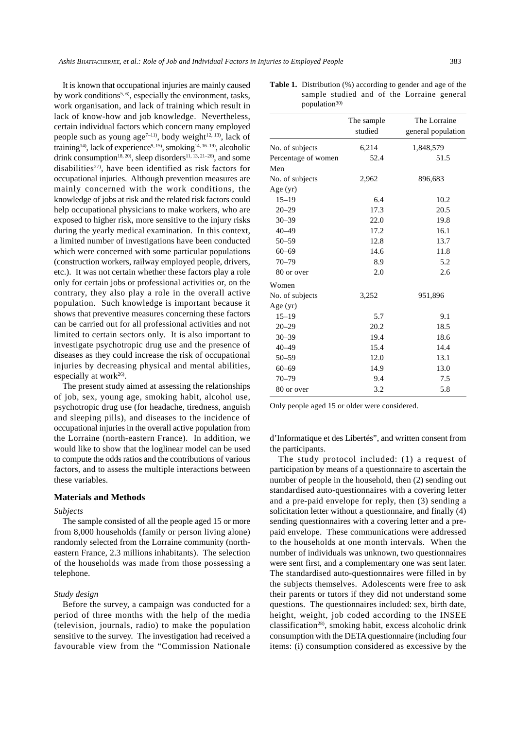It is known that occupational injuries are mainly caused by work conditions<sup>5, 6)</sup>, especially the environment, tasks, work organisation, and lack of training which result in lack of know-how and job knowledge. Nevertheless, certain individual factors which concern many employed people such as young  $age^{7-11}$ , body weight<sup>12, 13)</sup>, lack of training<sup>14)</sup>, lack of experience<sup>9, 15</sup>), smoking<sup>14, 16–19</sup>), alcoholic drink consumption<sup>18, 20)</sup>, sleep disorders<sup>11, 13, 21-26</sup>), and some disabilities<sup>27)</sup>, have been identified as risk factors for occupational injuries. Although prevention measures are mainly concerned with the work conditions, the knowledge of jobs at risk and the related risk factors could help occupational physicians to make workers, who are exposed to higher risk, more sensitive to the injury risks during the yearly medical examination. In this context, a limited number of investigations have been conducted which were concerned with some particular populations (construction workers, railway employed people, drivers, etc.). It was not certain whether these factors play a role only for certain jobs or professional activities or, on the contrary, they also play a role in the overall active population. Such knowledge is important because it shows that preventive measures concerning these factors can be carried out for all professional activities and not limited to certain sectors only. It is also important to investigate psychotropic drug use and the presence of diseases as they could increase the risk of occupational injuries by decreasing physical and mental abilities, especially at work $26$ .

The present study aimed at assessing the relationships of job, sex, young age, smoking habit, alcohol use, psychotropic drug use (for headache, tiredness, anguish and sleeping pills), and diseases to the incidence of occupational injuries in the overall active population from the Lorraine (north-eastern France). In addition, we would like to show that the loglinear model can be used to compute the odds ratios and the contributions of various factors, and to assess the multiple interactions between these variables.

# **Materials and Methods**

### *Subjects*

The sample consisted of all the people aged 15 or more from 8,000 households (family or person living alone) randomly selected from the Lorraine community (northeastern France, 2.3 millions inhabitants). The selection of the households was made from those possessing a telephone.

#### *Study design*

Before the survey, a campaign was conducted for a period of three months with the help of the media (television, journals, radio) to make the population sensitive to the survey. The investigation had received a favourable view from the "Commission Nationale

|                     | The sample<br>studied | The Lorraine<br>general population |
|---------------------|-----------------------|------------------------------------|
| No. of subjects     | 6,214                 | 1,848,579                          |
| Percentage of women | 52.4                  | 51.5                               |
| Men                 |                       |                                    |
| No. of subjects     | 2,962                 | 896,683                            |
| Age $(yr)$          |                       |                                    |
| $15 - 19$           | 6.4                   | 10.2                               |
| $20 - 29$           | 17.3                  | 20.5                               |
| $30 - 39$           | 22.0                  | 19.8                               |
| $40 - 49$           | 17.2                  | 16.1                               |
| $50 - 59$           | 12.8                  | 13.7                               |
| $60 - 69$           | 14.6                  | 11.8                               |
| $70 - 79$           | 8.9                   | 5.2                                |
| 80 or over          | 2.0                   | 2.6                                |
| Women               |                       |                                    |
| No. of subjects     | 3,252                 | 951,896                            |
| Age $(yr)$          |                       |                                    |
| $15 - 19$           | 5.7                   | 9.1                                |
| $20 - 29$           | 20.2                  | 18.5                               |
| $30 - 39$           | 19.4                  | 18.6                               |
| $40 - 49$           | 15.4                  | 14.4                               |
| $50 - 59$           | 12.0                  | 13.1                               |
| $60 - 69$           | 14.9                  | 13.0                               |
| $70 - 79$           | 9.4                   | 7.5                                |
| 80 or over          | 3.2                   | 5.8                                |

**Table 1.** Distribution (%) according to gender and age of the sample studied and of the Lorraine general population30)

Only people aged 15 or older were considered.

d'Informatique et des Libertés", and written consent from the participants.

The study protocol included: (1) a request of participation by means of a questionnaire to ascertain the number of people in the household, then (2) sending out standardised auto-questionnaires with a covering letter and a pre-paid envelope for reply, then (3) sending a solicitation letter without a questionnaire, and finally (4) sending questionnaires with a covering letter and a prepaid envelope. These communications were addressed to the households at one month intervals. When the number of individuals was unknown, two questionnaires were sent first, and a complementary one was sent later. The standardised auto-questionnaires were filled in by the subjects themselves. Adolescents were free to ask their parents or tutors if they did not understand some questions. The questionnaires included: sex, birth date, height, weight, job coded according to the INSEE classification28), smoking habit, excess alcoholic drink consumption with the DETA questionnaire (including four items: (i) consumption considered as excessive by the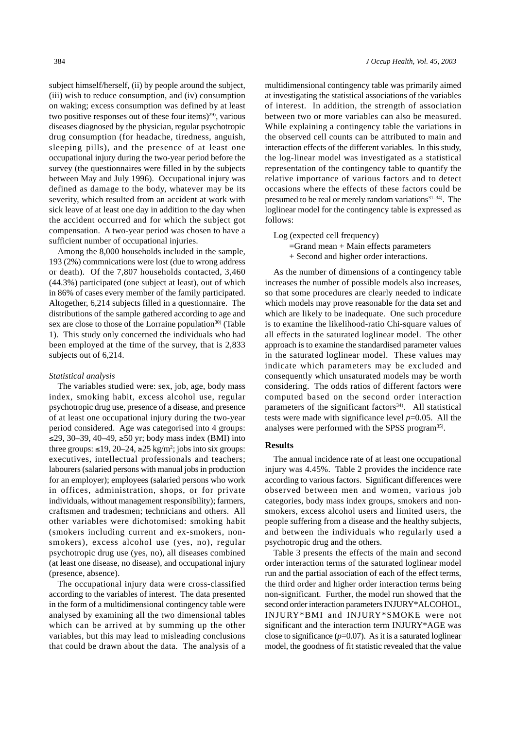subject himself/herself, (ii) by people around the subject, (iii) wish to reduce consumption, and (iv) consumption on waking; excess consumption was defined by at least two positive responses out of these four items) $^{29}$ , various diseases diagnosed by the physician, regular psychotropic drug consumption (for headache, tiredness, anguish, sleeping pills), and the presence of at least one occupational injury during the two-year period before the survey (the questionnaires were filled in by the subjects between May and July 1996). Occupational injury was defined as damage to the body, whatever may be its severity, which resulted from an accident at work with sick leave of at least one day in addition to the day when the accident occurred and for which the subject got compensation. A two-year period was chosen to have a sufficient number of occupational injuries.

Among the 8,000 households included in the sample, 193 (2%) commnications were lost (due to wrong address or death). Of the 7,807 households contacted, 3,460 (44.3%) participated (one subject at least), out of which in 86% of cases every member of the family participated. Altogether, 6,214 subjects filled in a questionnaire. The distributions of the sample gathered according to age and sex are close to those of the Lorraine population $30$ <sup>0</sup>) (Table 1). This study only concerned the individuals who had been employed at the time of the survey, that is 2,833 subjects out of 6,214.

#### *Statistical analysis*

The variables studied were: sex, job, age, body mass index, smoking habit, excess alcohol use, regular psychotropic drug use, presence of a disease, and presence of at least one occupational injury during the two-year period considered. Age was categorised into 4 groups: ≤29, 30–39, 40–49, ≥50 yr; body mass index (BMI) into three groups:  $\leq 19$ , 20–24,  $\geq 25$  kg/m<sup>2</sup>; jobs into six groups: executives, intellectual professionals and teachers; labourers (salaried persons with manual jobs in production for an employer); employees (salaried persons who work in offices, administration, shops, or for private individuals, without management responsibility); farmers, craftsmen and tradesmen; technicians and others. All other variables were dichotomised: smoking habit (smokers including current and ex-smokers, nonsmokers), excess alcohol use (yes, no), regular psychotropic drug use (yes, no), all diseases combined (at least one disease, no disease), and occupational injury (presence, absence).

The occupational injury data were cross-classified according to the variables of interest. The data presented in the form of a multidimensional contingency table were analysed by examining all the two dimensional tables which can be arrived at by summing up the other variables, but this may lead to misleading conclusions that could be drawn about the data. The analysis of a multidimensional contingency table was primarily aimed at investigating the statistical associations of the variables of interest. In addition, the strength of association between two or more variables can also be measured. While explaining a contingency table the variations in the observed cell counts can be attributed to main and interaction effects of the different variables. In this study, the log-linear model was investigated as a statistical representation of the contingency table to quantify the relative importance of various factors and to detect occasions where the effects of these factors could be presumed to be real or merely random variations<sup>31-34)</sup>. The loglinear model for the contingency table is expressed as follows:

- Log (expected cell frequency)
	- =Grand mean + Main effects parameters
	- + Second and higher order interactions.

As the number of dimensions of a contingency table increases the number of possible models also increases, so that some procedures are clearly needed to indicate which models may prove reasonable for the data set and which are likely to be inadequate. One such procedure is to examine the likelihood-ratio Chi-square values of all effects in the saturated loglinear model. The other approach is to examine the standardised parameter values in the saturated loglinear model. These values may indicate which parameters may be excluded and consequently which unsaturated models may be worth considering. The odds ratios of different factors were computed based on the second order interaction parameters of the significant factors<sup>34)</sup>. All statistical tests were made with significance level  $p=0.05$ . All the analyses were performed with the SPSS program<sup>35)</sup>.

# **Results**

The annual incidence rate of at least one occupational injury was 4.45%. Table 2 provides the incidence rate according to various factors. Significant differences were observed between men and women, various job categories, body mass index groups, smokers and nonsmokers, excess alcohol users and limited users, the people suffering from a disease and the healthy subjects, and between the individuals who regularly used a psychotropic drug and the others.

Table 3 presents the effects of the main and second order interaction terms of the saturated loglinear model run and the partial association of each of the effect terms, the third order and higher order interaction terms being non-significant. Further, the model run showed that the second order interaction parameters INJURY\*ALCOHOL, INJURY\*BMI and INJURY\*SMOKE were not significant and the interaction term INJURY\*AGE was close to significance  $(p=0.07)$ . As it is a saturated loglinear model, the goodness of fit statistic revealed that the value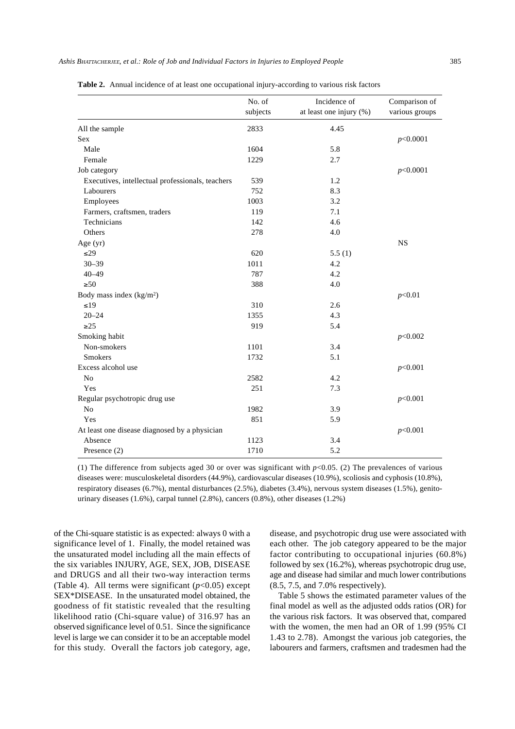|                                                  | No. of<br>subjects | Incidence of<br>at least one injury (%) | Comparison of<br>various groups |
|--------------------------------------------------|--------------------|-----------------------------------------|---------------------------------|
|                                                  |                    |                                         |                                 |
| All the sample                                   | 2833               | 4.45                                    |                                 |
| Sex                                              |                    |                                         | p<0.0001                        |
| Male                                             | 1604               | 5.8                                     |                                 |
| Female                                           | 1229               | 2.7                                     |                                 |
| Job category                                     |                    |                                         | p<0.0001                        |
| Executives, intellectual professionals, teachers | 539                | 1.2                                     |                                 |
| Labourers                                        | 752                | 8.3                                     |                                 |
| Employees                                        | 1003               | 3.2                                     |                                 |
| Farmers, craftsmen, traders                      | 119                | 7.1                                     |                                 |
| Technicians                                      | 142                | 4.6                                     |                                 |
| Others                                           | 278                | 4.0                                     |                                 |
| Age (yr)                                         |                    |                                         | <b>NS</b>                       |
| $\leq$ 29                                        | 620                | 5.5(1)                                  |                                 |
| $30 - 39$                                        | 1011               | 4.2                                     |                                 |
| $40 - 49$                                        | 787                | 4.2                                     |                                 |
| $\geq 50$                                        | 388                | 4.0                                     |                                 |
| Body mass index (kg/m <sup>2</sup> )             |                    |                                         | p<0.01                          |
| ${\leq}19$                                       | 310                | 2.6                                     |                                 |
| $20 - 24$                                        | 1355               | 4.3                                     |                                 |
| $\geq$ 25                                        | 919                | 5.4                                     |                                 |
| Smoking habit                                    |                    |                                         | p<0.002                         |
| Non-smokers                                      | 1101               | 3.4                                     |                                 |
| <b>Smokers</b>                                   | 1732               | 5.1                                     |                                 |
| Excess alcohol use                               |                    |                                         | p<0.001                         |
| N <sub>o</sub>                                   | 2582               | 4.2                                     |                                 |
| Yes                                              | 251                | 7.3                                     |                                 |
| Regular psychotropic drug use                    |                    |                                         | p<0.001                         |
| N <sub>o</sub>                                   | 1982               | 3.9                                     |                                 |
| Yes                                              | 851                | 5.9                                     |                                 |
| At least one disease diagnosed by a physician    |                    |                                         | p<0.001                         |
| Absence                                          | 1123               | 3.4                                     |                                 |
| Presence (2)                                     | 1710               | 5.2                                     |                                 |

|  |  | <b>Table 2.</b> Annual incidence of at least one occupational injury-according to various risk factors |  |  |
|--|--|--------------------------------------------------------------------------------------------------------|--|--|
|  |  |                                                                                                        |  |  |

(1) The difference from subjects aged 30 or over was significant with  $p<0.05$ . (2) The prevalences of various diseases were: musculoskeletal disorders (44.9%), cardiovascular diseases (10.9%), scoliosis and cyphosis (10.8%), respiratory diseases (6.7%), mental disturbances (2.5%), diabetes (3.4%), nervous system diseases (1.5%), genitourinary diseases (1.6%), carpal tunnel (2.8%), cancers (0.8%), other diseases (1.2%)

of the Chi-square statistic is as expected: always 0 with a significance level of 1. Finally, the model retained was the unsaturated model including all the main effects of the six variables INJURY, AGE, SEX, JOB, DISEASE and DRUGS and all their two-way interaction terms (Table 4). All terms were significant  $(p<0.05)$  except SEX\*DISEASE. In the unsaturated model obtained, the goodness of fit statistic revealed that the resulting likelihood ratio (Chi-square value) of 316.97 has an observed significance level of 0.51. Since the significance level is large we can consider it to be an acceptable model for this study. Overall the factors job category, age,

disease, and psychotropic drug use were associated with each other. The job category appeared to be the major factor contributing to occupational injuries (60.8%) followed by sex (16.2%), whereas psychotropic drug use, age and disease had similar and much lower contributions (8.5, 7.5, and 7.0% respectively).

Table 5 shows the estimated parameter values of the final model as well as the adjusted odds ratios (OR) for the various risk factors. It was observed that, compared with the women, the men had an OR of 1.99 (95% CI 1.43 to 2.78). Amongst the various job categories, the labourers and farmers, craftsmen and tradesmen had the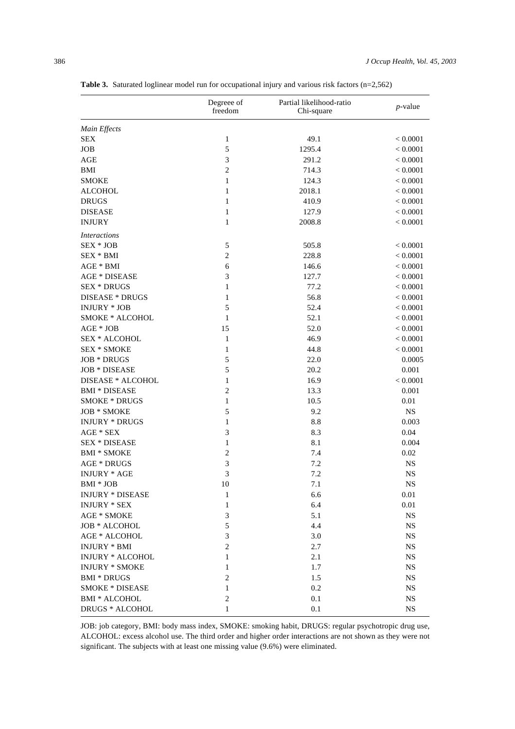|                         | Degreee of<br>freedom | Partial likelihood-ratio<br>Chi-square | $p$ -value           |
|-------------------------|-----------------------|----------------------------------------|----------------------|
| Main Effects            |                       |                                        |                      |
| <b>SEX</b>              | $\mathbf{1}$          | 49.1                                   | < 0.0001             |
| <b>JOB</b>              | 5                     | 1295.4                                 | < 0.0001             |
| $\mathbf{AGE}$          | 3                     | 291.2                                  | < 0.0001             |
| BMI                     | $\overline{c}$        | 714.3                                  | < 0.0001             |
| <b>SMOKE</b>            | 1                     | 124.3                                  | < 0.0001             |
| <b>ALCOHOL</b>          | 1                     | 2018.1                                 | < 0.0001             |
| <b>DRUGS</b>            | 1                     | 410.9                                  | < 0.0001             |
| <b>DISEASE</b>          | 1                     | 127.9                                  | < 0.0001             |
| <b>INJURY</b>           | 1                     | 2008.8                                 | < 0.0001             |
| <i>Interactions</i>     |                       |                                        |                      |
|                         | 5                     |                                        |                      |
| SEX * JOB               | $\overline{2}$        | 505.8<br>228.8                         | < 0.0001<br>< 0.0001 |
| SEX * BMI               |                       | 146.6                                  |                      |
| AGE * BMI               | 6                     |                                        | < 0.0001             |
| <b>AGE * DISEASE</b>    | 3                     | 127.7                                  | < 0.0001             |
| <b>SEX * DRUGS</b>      | 1                     | 77.2                                   | < 0.0001             |
| <b>DISEASE * DRUGS</b>  | 1                     | 56.8                                   | < 0.0001             |
| <b>INJURY * JOB</b>     | 5                     | 52.4                                   | < 0.0001             |
| <b>SMOKE * ALCOHOL</b>  | $\mathbf{1}$          | 52.1                                   | < 0.0001             |
| AGE * JOB               | 15                    | 52.0                                   | < 0.0001             |
| SEX * ALCOHOL           | $\mathbf{1}$          | 46.9                                   | < 0.0001             |
| <b>SEX * SMOKE</b>      | $\mathbf{1}$          | 44.8                                   | < 0.0001             |
| <b>JOB * DRUGS</b>      | 5                     | 22.0                                   | 0.0005               |
| <b>JOB * DISEASE</b>    | 5                     | 20.2                                   | 0.001                |
| DISEASE * ALCOHOL       | 1                     | 16.9                                   | < 0.0001             |
| <b>BMI * DISEASE</b>    | $\overline{2}$        | 13.3                                   | 0.001                |
| <b>SMOKE * DRUGS</b>    | $\mathbf{1}$          | 10.5                                   | $0.01\,$             |
| <b>JOB * SMOKE</b>      | 5                     | 9.2                                    | <b>NS</b>            |
| <b>INJURY * DRUGS</b>   | 1                     | 8.8                                    | 0.003                |
| AGE * SEX               | 3                     | 8.3                                    | 0.04                 |
| <b>SEX * DISEASE</b>    | 1                     | 8.1                                    | 0.004                |
| <b>BMI * SMOKE</b>      | $\overline{c}$        | 7.4                                    | 0.02                 |
| <b>AGE * DRUGS</b>      | 3                     | 7.2                                    | <b>NS</b>            |
| <b>INJURY * AGE</b>     | 3                     | 7.2                                    | $_{\rm NS}$          |
| BMI * JOB               | 10                    | 7.1                                    | <b>NS</b>            |
| <b>INJURY * DISEASE</b> | $\mathbf{1}$          | 6.6                                    | 0.01                 |
| <b>INJURY * SEX</b>     | 1                     | 6.4                                    | 0.01                 |
| <b>AGE * SMOKE</b>      | 3                     | 5.1                                    | <b>NS</b>            |
| JOB * ALCOHOL           | 5                     | 4.4                                    | <b>NS</b>            |
| AGE * ALCOHOL           | 3                     | 3.0                                    | <b>NS</b>            |
| <b>INJURY * BMI</b>     | $\overline{c}$        | 2.7                                    | <b>NS</b>            |
| <b>INJURY * ALCOHOL</b> | 1                     | 2.1                                    | <b>NS</b>            |
| <b>INJURY * SMOKE</b>   | 1                     | 1.7                                    | <b>NS</b>            |
| <b>BMI * DRUGS</b>      | $\overline{c}$        | 1.5                                    | <b>NS</b>            |
| <b>SMOKE * DISEASE</b>  | 1                     | 0.2                                    | <b>NS</b>            |
| <b>BMI * ALCOHOL</b>    | $\overline{c}$        | 0.1                                    | <b>NS</b>            |
| DRUGS * ALCOHOL         | 1                     | 0.1                                    | <b>NS</b>            |

**Table 3.** Saturated loglinear model run for occupational injury and various risk factors (n=2,562)

JOB: job category, BMI: body mass index, SMOKE: smoking habit, DRUGS: regular psychotropic drug use, ALCOHOL: excess alcohol use. The third order and higher order interactions are not shown as they were not significant. The subjects with at least one missing value (9.6%) were eliminated.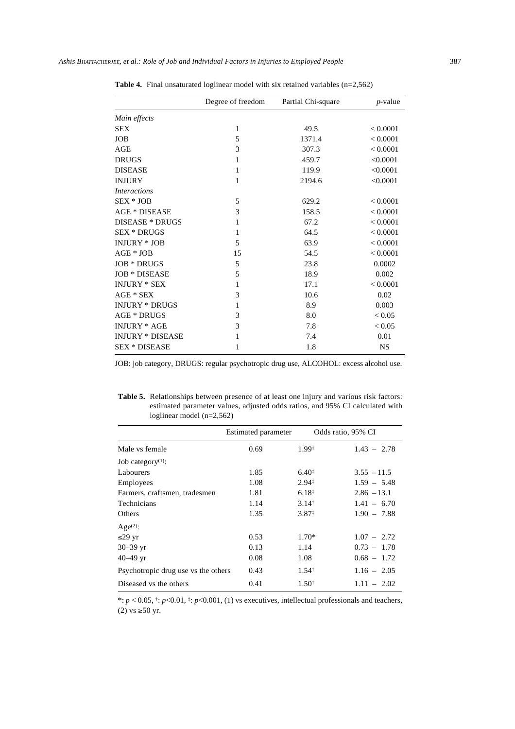|                         | Degree of freedom | Partial Chi-square | $p$ -value |
|-------------------------|-------------------|--------------------|------------|
| Main effects            |                   |                    |            |
| <b>SEX</b>              | 1                 | 49.5               | < 0.0001   |
| <b>JOB</b>              | 5                 | 1371.4             | < 0.0001   |
| AGE                     | 3                 | 307.3              | < 0.0001   |
| <b>DRUGS</b>            | 1                 | 459.7              | < 0.0001   |
| <b>DISEASE</b>          | 1                 | 119.9              | < 0.0001   |
| <b>INJURY</b>           | 1                 | 2194.6             | < 0.0001   |
| <i>Interactions</i>     |                   |                    |            |
| $SEX * JOB$             | 5                 | 629.2              | < 0.0001   |
| <b>AGE * DISEASE</b>    | 3                 | 158.5              | < 0.0001   |
| <b>DISEASE * DRUGS</b>  | 1                 | 67.2               | < 0.0001   |
| <b>SEX * DRUGS</b>      | 1                 | 64.5               | < 0.0001   |
| <b>INJURY * JOB</b>     | 5                 | 63.9               | < 0.0001   |
| $AGE * JOB$             | 15                | 54.5               | < 0.0001   |
| <b>JOB * DRUGS</b>      | 5                 | 23.8               | 0.0002     |
| <b>JOB * DISEASE</b>    | 5                 | 18.9               | 0.002      |
| <b>INJURY * SEX</b>     | 1                 | 17.1               | < 0.0001   |
| $AGE * SEX$             | 3                 | 10.6               | 0.02       |
| <b>INJURY * DRUGS</b>   | 1                 | 8.9                | 0.003      |
| <b>AGE * DRUGS</b>      | 3                 | 8.0                | < 0.05     |
| <b>INJURY * AGE</b>     | 3                 | 7.8                | < 0.05     |
| <b>INJURY * DISEASE</b> | 1                 | 7.4                | 0.01       |
| <b>SEX * DISEASE</b>    | 1                 | 1.8                | <b>NS</b>  |

Table 4. Final unsaturated loglinear model with six retained variables (n=2,562)

JOB: job category, DRUGS: regular psychotropic drug use, ALCOHOL: excess alcohol use.

**Table 5.** Relationships between presence of at least one injury and various risk factors: estimated parameter values, adjusted odds ratios, and 95% CI calculated with loglinear model (n=2,562)

|                                     | Estimated parameter | Odds ratio, 95% CI |               |
|-------------------------------------|---------------------|--------------------|---------------|
| Male vs female                      | 0.69                | 1.99‡              | $1.43 - 2.78$ |
| Job category <sup>(1)</sup> :       |                     |                    |               |
| Labourers                           | 1.85                | $6.40^{\ddagger}$  | $3.55 - 11.5$ |
| Employees                           | 1.08                | 2.94‡              | $1.59 - 5.48$ |
| Farmers, craftsmen, tradesmen       | 1.81                | 6.18 <sup>‡</sup>  | $2.86 - 13.1$ |
| Technicians                         | 1.14                | $3.14^{\dagger}$   | $1.41 - 6.70$ |
| Others                              | 1.35                | 3.87‡              | $1.90 - 7.88$ |
| Age $(2)$ :                         |                     |                    |               |
| $≤29$ yr                            | 0.53                | $1.70*$            | $1.07 - 2.72$ |
| $30 - 39$ yr                        | 0.13                | 1.14               | $0.73 - 1.78$ |
| $40 - 49$ yr                        | 0.08                | 1.08               | $0.68 - 1.72$ |
| Psychotropic drug use vs the others | 0.43                | $1.54^{\dagger}$   | $1.16 - 2.05$ |
| Diseased vs the others              | 0.41                | $1.50^+$           | $1.11 - 2.02$ |

\*: *p* < 0.05, †: *p*<0.01, ‡: *p*<0.001, (1) vs executives, intellectual professionals and teachers, (2) vs  $\geq 50$  yr.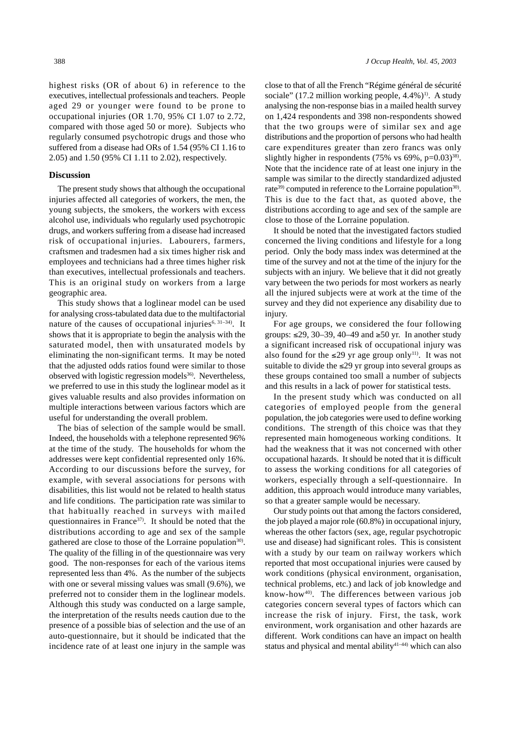highest risks (OR of about 6) in reference to the executives, intellectual professionals and teachers. People aged 29 or younger were found to be prone to occupational injuries (OR 1.70, 95% CI 1.07 to 2.72, compared with those aged 50 or more). Subjects who regularly consumed psychotropic drugs and those who suffered from a disease had ORs of 1.54 (95% CI 1.16 to 2.05) and 1.50 (95% CI 1.11 to 2.02), respectively.

## **Discussion**

The present study shows that although the occupational injuries affected all categories of workers, the men, the young subjects, the smokers, the workers with excess alcohol use, individuals who regularly used psychotropic drugs, and workers suffering from a disease had increased risk of occupational injuries. Labourers, farmers, craftsmen and tradesmen had a six times higher risk and employees and technicians had a three times higher risk than executives, intellectual professionals and teachers. This is an original study on workers from a large geographic area.

This study shows that a loglinear model can be used for analysing cross-tabulated data due to the multifactorial nature of the causes of occupational injuries<sup>6, 31-34)</sup>. It shows that it is appropriate to begin the analysis with the saturated model, then with unsaturated models by eliminating the non-significant terms. It may be noted that the adjusted odds ratios found were similar to those observed with logistic regression models $36$ . Nevertheless, we preferred to use in this study the loglinear model as it gives valuable results and also provides information on multiple interactions between various factors which are useful for understanding the overall problem.

The bias of selection of the sample would be small. Indeed, the households with a telephone represented 96% at the time of the study. The households for whom the addresses were kept confidential represented only 16%. According to our discussions before the survey, for example, with several associations for persons with disabilities, this list would not be related to health status and life conditions. The participation rate was similar to that habitually reached in surveys with mailed questionnaires in France $37$ . It should be noted that the distributions according to age and sex of the sample gathered are close to those of the Lorraine population<sup>30)</sup>. The quality of the filling in of the questionnaire was very good. The non-responses for each of the various items represented less than 4%. As the number of the subjects with one or several missing values was small (9.6%), we preferred not to consider them in the loglinear models. Although this study was conducted on a large sample, the interpretation of the results needs caution due to the presence of a possible bias of selection and the use of an auto-questionnaire, but it should be indicated that the incidence rate of at least one injury in the sample was close to that of all the French "Régime général de sécurité sociale" (17.2 million working people,  $(4.4\%)$ <sup>1)</sup>. A study analysing the non-response bias in a mailed health survey on 1,424 respondents and 398 non-respondents showed that the two groups were of similar sex and age distributions and the proportion of persons who had health care expenditures greater than zero francs was only slightly higher in respondents (75% vs 69%,  $p=0.03$ )<sup>38)</sup>. Note that the incidence rate of at least one injury in the sample was similar to the directly standardized adjusted rate $39$ ) computed in reference to the Lorraine population $30$ . This is due to the fact that, as quoted above, the distributions according to age and sex of the sample are close to those of the Lorraine population.

It should be noted that the investigated factors studied concerned the living conditions and lifestyle for a long period. Only the body mass index was determined at the time of the survey and not at the time of the injury for the subjects with an injury. We believe that it did not greatly vary between the two periods for most workers as nearly all the injured subjects were at work at the time of the survey and they did not experience any disability due to injury.

For age groups, we considered the four following groups: ≤29, 30–39, 40–49 and ≥50 yr. In another study a significant increased risk of occupational injury was also found for the ≤29 yr age group only<sup>11)</sup>. It was not suitable to divide the  $\leq$ 29 yr group into several groups as these groups contained too small a number of subjects and this results in a lack of power for statistical tests.

In the present study which was conducted on all categories of employed people from the general population, the job categories were used to define working conditions. The strength of this choice was that they represented main homogeneous working conditions. It had the weakness that it was not concerned with other occupational hazards. It should be noted that it is difficult to assess the working conditions for all categories of workers, especially through a self-questionnaire. In addition, this approach would introduce many variables, so that a greater sample would be necessary.

Our study points out that among the factors considered, the job played a major role (60.8%) in occupational injury, whereas the other factors (sex, age, regular psychotropic use and disease) had significant roles. This is consistent with a study by our team on railway workers which reported that most occupational injuries were caused by work conditions (physical environment, organisation, technical problems, etc.) and lack of job knowledge and know-how40). The differences between various job categories concern several types of factors which can increase the risk of injury. First, the task, work environment, work organisation and other hazards are different. Work conditions can have an impact on health status and physical and mental ability $41-44$ ) which can also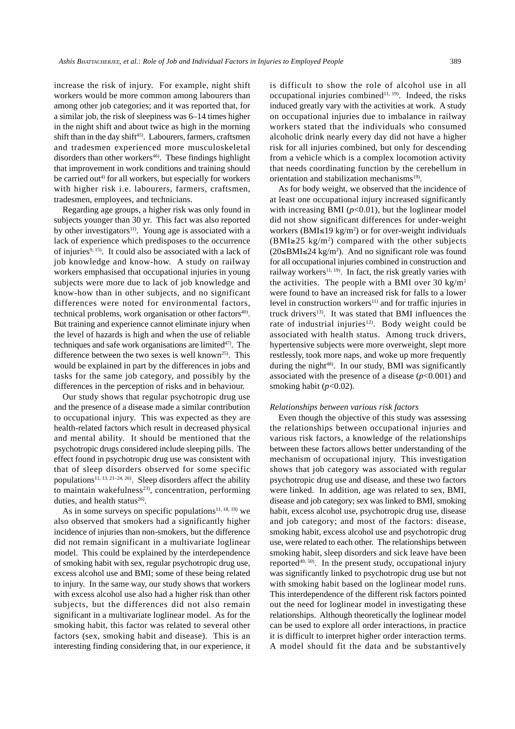increase the risk of injury. For example, night shift workers would be more common among labourers than among other job categories; and it was reported that, for a similar job, the risk of sleepiness was 6–14 times higher in the night shift and about twice as high in the morning shift than in the day shift<sup>45)</sup>. Labourers, farmers, craftsmen and tradesmen experienced more musculoskeletal disorders than other workers $46$ . These findings highlight that improvement in work conditions and training should be carried out<sup>4)</sup> for all workers, but especially for workers with higher risk i.e. labourers, farmers, craftsmen, tradesmen, employees, and technicians.

Regarding age groups, a higher risk was only found in subjects younger than 30 yr. This fact was also reported by other investigators<sup>11)</sup>. Young age is associated with a lack of experience which predisposes to the occurrence of injuries<sup>9, 15)</sup>. It could also be associated with a lack of job knowledge and know-how. A study on railway workers emphasised that occupational injuries in young subjects were more due to lack of job knowledge and know-how than in other subjects, and no significant differences were noted for environmental factors, technical problems, work organisation or other factors<sup>40)</sup>. But training and experience cannot eliminate injury when the level of hazards is high and when the use of reliable techniques and safe work organisations are limited $47$ . The difference between the two sexes is well known<sup>25)</sup>. This would be explained in part by the differences in jobs and tasks for the same job category, and possibly by the differences in the perception of risks and in behaviour.

Our study shows that regular psychotropic drug use and the presence of a disease made a similar contribution to occupational injury. This was expected as they are health-related factors which result in decreased physical and mental ability. It should be mentioned that the psychotropic drugs considered include sleeping pills. The effect found in psychotropic drug use was consistent with that of sleep disorders observed for some specific populations<sup>11, 13, 21–24, 26)</sup>. Sleep disorders affect the ability to maintain wakefulness<sup>23)</sup>, concentration, performing duties, and health status $26$ .

As in some surveys on specific populations<sup>11, 18, 19)</sup> we also observed that smokers had a significantly higher incidence of injuries than non-smokers, but the difference did not remain significant in a multivariate loglinear model. This could be explained by the interdependence of smoking habit with sex, regular psychotropic drug use, excess alcohol use and BMI; some of these being related to injury. In the same way, our study shows that workers with excess alcohol use also had a higher risk than other subjects, but the differences did not also remain significant in a multivariate loglinear model. As for the smoking habit, this factor was related to several other factors (sex, smoking habit and disease). This is an interesting finding considering that, in our experience, it is difficult to show the role of alcohol use in all occupational injuries combined $11, 19$ . Indeed, the risks induced greatly vary with the activities at work. A study on occupational injuries due to imbalance in railway workers stated that the individuals who consumed alcoholic drink nearly every day did not have a higher risk for all injuries combined, but only for descending from a vehicle which is a complex locomotion activity that needs coordinating function by the cerebellum in orientation and stabilization mechanisms<sup>19)</sup>.

As for body weight, we observed that the incidence of at least one occupational injury increased significantly with increasing BMI  $(p<0.01)$ , but the loglinear model did not show significant differences for under-weight workers (BMI≤19 kg/m<sup>2</sup>) or for over-weight individuals  $(BMI \geq 25 \text{ kg/m}^2)$  compared with the other subjects (20≤BMI≤24 kg/m<sup>2</sup>). And no significant role was found for all occupational injuries combined in construction and railway workers<sup>11, 19)</sup>. In fact, the risk greatly varies with the activities. The people with a BMI over 30 kg/m<sup>2</sup> were found to have an increased risk for falls to a lower level in construction workers<sup>11)</sup> and for traffic injuries in truck drivers<sup>13)</sup>. It was stated that BMI influences the rate of industrial injuries<sup>12)</sup>. Body weight could be associated with health status. Among truck drivers, hypertensive subjects were more overweight, slept more restlessly, took more naps, and woke up more frequently during the night<sup>48)</sup>. In our study, BMI was significantly associated with the presence of a disease  $(p<0.001)$  and smoking habit  $(p<0.02)$ .

#### *Relationships between various risk factors*

Even though the objective of this study was assessing the relationships between occupational injuries and various risk factors, a knowledge of the relationships between these factors allows better understanding of the mechanism of occupational injury. This investigation shows that job category was associated with regular psychotropic drug use and disease, and these two factors were linked. In addition, age was related to sex, BMI, disease and job category; sex was linked to BMI, smoking habit, excess alcohol use, psychotropic drug use, disease and job category; and most of the factors: disease, smoking habit, excess alcohol use and psychotropic drug use, were related to each other. The relationships between smoking habit, sleep disorders and sick leave have been reported49, 50). In the present study, occupational injury was significantly linked to psychotropic drug use but not with smoking habit based on the loglinear model runs. This interdependence of the different risk factors pointed out the need for loglinear model in investigating these relationships. Although theoretically the loglinear model can be used to explore all order interactions, in practice it is difficult to interpret higher order interaction terms. A model should fit the data and be substantively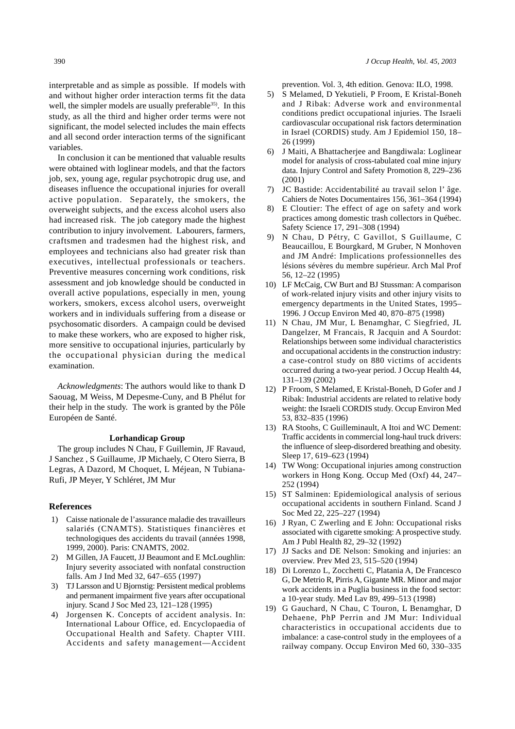interpretable and as simple as possible. If models with and without higher order interaction terms fit the data well, the simpler models are usually preferable<sup>35)</sup>. In this study, as all the third and higher order terms were not significant, the model selected includes the main effects and all second order interaction terms of the significant variables.

In conclusion it can be mentioned that valuable results were obtained with loglinear models, and that the factors job, sex, young age, regular psychotropic drug use, and diseases influence the occupational injuries for overall active population. Separately, the smokers, the overweight subjects, and the excess alcohol users also had increased risk. The job category made the highest contribution to injury involvement. Labourers, farmers, craftsmen and tradesmen had the highest risk, and employees and technicians also had greater risk than executives, intellectual professionals or teachers. Preventive measures concerning work conditions, risk assessment and job knowledge should be conducted in overall active populations, especially in men, young workers, smokers, excess alcohol users, overweight workers and in individuals suffering from a disease or psychosomatic disorders. A campaign could be devised to make these workers, who are exposed to higher risk, more sensitive to occupational injuries, particularly by the occupational physician during the medical examination.

*Acknowledgments*: The authors would like to thank D Saouag, M Weiss, M Depesme-Cuny, and B Phélut for their help in the study. The work is granted by the Pôle Européen de Santé.

## **Lorhandicap Group**

The group includes N Chau, F Guillemin, JF Ravaud, J Sanchez , S Guillaume, JP Michaely, C Otero Sierra, B Legras, A Dazord, M Choquet, L Méjean, N Tubiana-Rufi, JP Meyer, Y Schléret, JM Mur

#### **References**

- 1) Caisse nationale de l'assurance maladie des travailleurs salariés (CNAMTS). Statistiques financières et technologiques des accidents du travail (années 1998, 1999, 2000). Paris: CNAMTS, 2002.
- 2) M Gillen, JA Faucett, JJ Beaumont and E McLoughlin: Injury severity associated with nonfatal construction falls. Am J Ind Med 32, 647–655 (1997)
- 3) TJ Larsson and U Bjornstig: Persistent medical problems and permanent impairment five years after occupational injury. Scand J Soc Med 23, 121–128 (1995)
- 4) Jorgensen K. Concepts of accident analysis. In: International Labour Office, ed. Encyclopaedia of Occupational Health and Safety. Chapter VIII. Accidents and safety management—Accident

prevention. Vol. 3, 4th edition. Genova: ILO, 1998.

- 5) S Melamed, D Yekutieli, P Froom, E Kristal-Boneh and J Ribak: Adverse work and environmental conditions predict occupational injuries. The Israeli cardiovascular occupational risk factors determination in Israel (CORDIS) study. Am J Epidemiol 150, 18– 26 (1999)
- 6) J Maiti, A Bhattacherjee and Bangdiwala: Loglinear model for analysis of cross-tabulated coal mine injury data. Injury Control and Safety Promotion 8, 229–236 (2001)
- 7) JC Bastide: Accidentabilité au travail selon l' âge. Cahiers de Notes Documentaires 156, 361–364 (1994)
- 8) E Cloutier: The effect of age on safety and work practices among domestic trash collectors in Québec. Safety Science 17, 291–308 (1994)
- 9) N Chau, D Pétry, C Gavillot, S Guillaume, C Beaucaillou, E Bourgkard, M Gruber, N Monhoven and JM André: Implications professionnelles des lésions sévères du membre supérieur. Arch Mal Prof 56, 12–22 (1995)
- 10) LF McCaig, CW Burt and BJ Stussman: A comparison of work-related injury visits and other injury visits to emergency departments in the United States, 1995– 1996. J Occup Environ Med 40, 870–875 (1998)
- 11) N Chau, JM Mur, L Benamghar, C Siegfried, JL Dangelzer, M Francais, R Jacquin and A Sourdot: Relationships between some individual characteristics and occupational accidents in the construction industry: a case-control study on 880 victims of accidents occurred during a two-year period. J Occup Health 44, 131–139 (2002)
- 12) P Froom, S Melamed, E Kristal-Boneh, D Gofer and J Ribak: Industrial accidents are related to relative body weight: the Israeli CORDIS study. Occup Environ Med 53, 832–835 (1996)
- 13) RA Stoohs, C Guilleminault, A Itoi and WC Dement: Traffic accidents in commercial long-haul truck drivers: the influence of sleep-disordered breathing and obesity. Sleep 17, 619–623 (1994)
- 14) TW Wong: Occupational injuries among construction workers in Hong Kong. Occup Med (Oxf) 44, 247– 252 (1994)
- 15) ST Salminen: Epidemiological analysis of serious occupational accidents in southern Finland. Scand J Soc Med 22, 225–227 (1994)
- 16) J Ryan, C Zwerling and E John: Occupational risks associated with cigarette smoking: A prospective study. Am J Publ Health 82, 29–32 (1992)
- 17) JJ Sacks and DE Nelson: Smoking and injuries: an overview. Prev Med 23, 515–520 (1994)
- 18) Di Lorenzo L, Zocchetti C, Platania A, De Francesco G, De Metrio R, Pirris A, Gigante MR. Minor and major work accidents in a Puglia business in the food sector: a 10-year study. Med Lav 89, 499–513 (1998)
- 19) G Gauchard, N Chau, C Touron, L Benamghar, D Dehaene, PhP Perrin and JM Mur: Individual characteristics in occupational accidents due to imbalance: a case-control study in the employees of a railway company. Occup Environ Med 60, 330–335